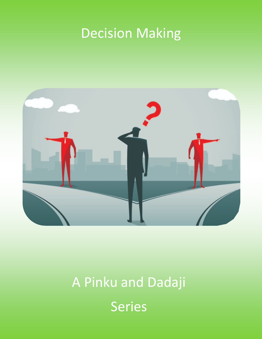# Decision Making



# A Pinku and Dadaji Series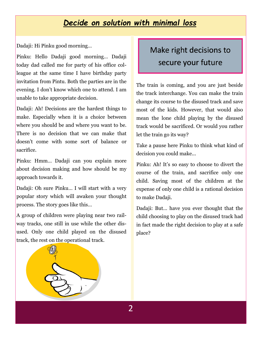# *Decide on solution with minimal loss*

Dadaji: Hi Pinku good morning…

Pinku: Hello Dadaji good morning… Dadaji today dad called me for party of his office colleague at the same time I have birthday party invitation from Pintu. Both the parties are in the evening. I don't know which one to attend. I am unable to take appropriate decision.

Dadaji: Ah! Decisions are the hardest things to make. Especially when it is a choice between where you should be and where you want to be. There is no decision that we can make that doesn't come with some sort of balance or sacrifice.

Pinku: Hmm… Dadaji can you explain more about decision making and how should be my approach towards it.

Dadaji: Oh sure Pinku… I will start with a very popular story which will awaken your thought process. The story goes like this…

A group of children were playing near two railway tracks, one still in use while the other disused. Only one child played on the disused track, the rest on the operational track.

# Make right decisions to secure your future

The train is coming, and you are just beside the track interchange. You can make the train change its course to the disused track and save most of the kids. However, that would also mean the lone child playing by the disused track would be sacrificed. Or would you rather let the train go its way?

Take a pause here Pinku to think what kind of decision you could make...

Pinku: Ah! It's so easy to choose to divert the course of the train, and sacrifice only one child. Saving most of the children at the expense of only one child is a rational decision to make Dadaji.

Dadaji: But… have you ever thought that the child choosing to play on the disused track had in fact made the right decision to play at a safe place?

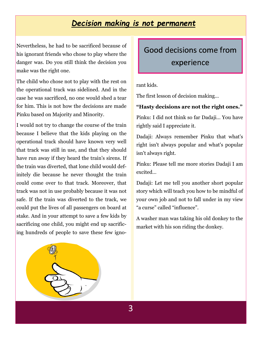### *Decision making is not permanent*

Nevertheless, he had to be sacrificed because of his ignorant friends who chose to play where the danger was. Do you still think the decision you make was the right one.

The child who chose not to play with the rest on the operational track was sidelined. And in the case he was sacrificed, no one would shed a tear for him. This is not how the decisions are made Pinku based on Majority and Minority.

I would not try to change the course of the train because I believe that the kids playing on the operational track should have known very well that track was still in use, and that they should have run away if they heard the train's sirens. If the train was diverted, that lone child would definitely die because he never thought the train could come over to that track. Moreover, that track was not in use probably because it was not safe. If the train was diverted to the track, we could put the lives of all passengers on board at stake. And in your attempt to save a few kids by sacrificing one child, you might end up sacrificing hundreds of people to save these few ignoGood decisions come from experience

rant kids.

The first lesson of decision making…

#### **"Hasty decisions are not the right ones."**

Pinku: I did not think so far Dadaji… You have rightly said I appreciate it.

Dadaji: Always remember Pinku that what's right isn't always popular and what's popular isn't always right.

Pinku: Please tell me more stories Dadaji I am excited…

Dadaji: Let me tell you another short popular story which will teach you how to be mindful of your own job and not to fall under in my view "a curse" called "influence".

A washer man was taking his old donkey to the market with his son riding the donkey.

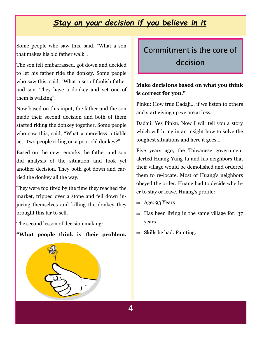## *Stay on your decision if you believe in it*

Some people who saw this, said, "What a son that makes his old father walk".

The son felt embarrassed, got down and decided to let his father ride the donkey. Some people who saw this, said, "What a set of foolish father and son. They have a donkey and yet one of them is walking".

Now based on this input, the father and the son made their second decision and both of them started riding the donkey together. Some people who saw this, said, "What a merciless pitiable act. Two people riding on a poor old donkey?"

Based on the new remarks the father and son did analysis of the situation and took yet another decision. They both got down and carried the donkey all the way.

They were too tired by the time they reached the market, tripped over a stone and fell down injuring themselves and killing the donkey they brought this far to sell.

The second lesson of decision making:

#### **"What people think is their problem.**

# Commitment is the core of decision

#### **Make decisions based on what you think is correct for you."**

Pinku: How true Dadaji… if we listen to others and start giving up we are at loss.

Dadaji: Yes Pinku. Now I will tell you a story which will bring in an insight how to solve the toughest situations and here it goes…

Five years ago, the Taiwanese government alerted Huang Yung-fu and his neighbors that their village would be demolished and ordered them to re-locate. Most of Huang's neighbors obeyed the order. Huang had to decide whether to stay or leave. Huang's profile:

- $\Rightarrow$  Age: 93 Years
- $\Rightarrow$  Has been living in the same village for: 37 years
- $\Rightarrow$  Skills he had: Painting.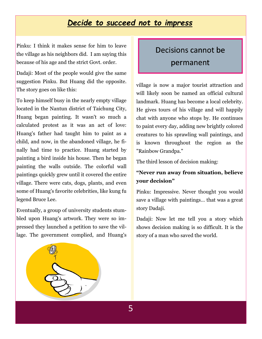### *Decide to succeed not to impress*

Pinku: I think it makes sense for him to leave the village as his neighbors did. I am saying this because of his age and the strict Govt. order.

Dadaji: Most of the people would give the same suggestion Pinku. But Huang did the opposite. The story goes on like this:

To keep himself busy in the nearly empty village located in the Nantun district of Taichung City, Huang began painting. It wasn't so much a calculated protest as it was an act of love: Huang's father had taught him to paint as a child, and now, in the abandoned village, he finally had time to practice. Huang started by painting a bird inside his house. Then he began painting the walls outside. The colorful wall paintings quickly grew until it covered the entire village. There were cats, dogs, plants, and even some of Huang's favorite celebrities, like kung fu legend Bruce Lee.

Eventually, a group of university students stumbled upon Huang's artwork. They were so impressed they launched a petition to save the village. The government complied, and Huang's

# Decisions cannot be permanent

village is now a major tourist attraction and will likely soon be named an official cultural landmark. Huang has become a local celebrity. He gives tours of his village and will happily chat with anyone who stops by. He continues to paint every day, adding new brightly colored creatures to his sprawling wall paintings, and is known throughout the region as the "Rainbow Grandpa."

The third lesson of decision making:

#### **"Never run away from situation, believe your decision"**

Pinku: Impressive. Never thought you would save a village with paintings… that was a great story Dadaji.

Dadaji: Now let me tell you a story which shows decision making is so difficult. It is the story of a man who saved the world.

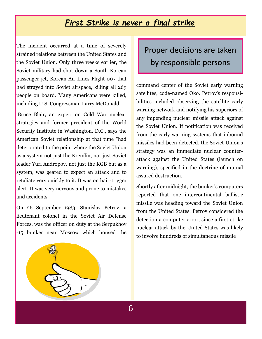### *First Strike is never a final strike*

The incident occurred at a time of severely strained relations between the United States and the Soviet Union. Only three weeks earlier, the Soviet military had shot down a South Korean passenger jet, Korean Air Lines Flight 007 that had strayed into Soviet airspace, killing all 269 people on board. Many Americans were killed, including U.S. Congressman Larry McDonald.

Bruce Blair, an expert on Cold War nuclear strategies and former president of the World Security Institute in Washington, D.C., says the American Soviet relationship at that time "had deteriorated to the point where the Soviet Union as a system not just the Kremlin, not just Soviet leader Yuri Andropov, not just the KGB but as a system, was geared to expect an attack and to retaliate very quickly to it. It was on hair-trigger alert. It was very nervous and prone to mistakes and accidents.

On 26 September 1983, Stanislav Petrov, a lieutenant colonel in the Soviet Air Defense Forces, was the officer on duty at the Serpukhov -15 bunker near Moscow which housed the

# Proper decisions are taken by responsible persons

command center of the Soviet early warning satellites, code-named Oko. Petrov's responsibilities included observing the satellite early warning network and notifying his superiors of any impending nuclear missile attack against the Soviet Union. If notification was received from the early warning systems that inbound missiles had been detected, the Soviet Union's strategy was an immediate nuclear counterattack against the United States (launch on warning), specified in the doctrine of mutual assured destruction.

Shortly after midnight, the bunker's computers reported that one intercontinental ballistic missile was heading toward the Soviet Union from the United States. Petrov considered the detection a computer error, since a first-strike nuclear attack by the United States was likely to involve hundreds of simultaneous missile

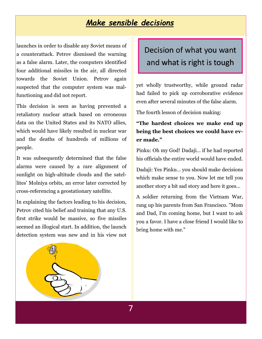### *Make sensible decisions*

launches in order to disable any Soviet means of a counterattack. Petrov dismissed the warning as a false alarm. Later, the computers identified four additional missiles in the air, all directed towards the Soviet Union. Petrov again suspected that the computer system was malfunctioning and did not report.

This decision is seen as having prevented a retaliatory nuclear attack based on erroneous data on the United States and its NATO allies, which would have likely resulted in nuclear war and the deaths of hundreds of millions of people.

It was subsequently determined that the false alarms were caused by a rare alignment of sunlight on high-altitude clouds and the satellites' Molniya orbits, an error later corrected by cross-referencing a geostationary satellite.

In explaining the factors leading to his decision, Petrov cited his belief and training that any U.S. first strike would be massive, so five missiles seemed an illogical start. In addition, the launch detection system was new and in his view not

# Decision of what you want and what is right is tough

yet wholly trustworthy, while ground radar had failed to pick up corroborative evidence even after several minutes of the false alarm.

The fourth lesson of decision making:

#### **"The hardest choices we make end up being the best choices we could have ever made."**

Pinku: Oh my God! Dadaji… if he had reported his officials the entire world would have ended.

Dadaji: Yes Pinku… you should make decisions which make sense to you. Now let me tell you another story a bit sad story and here it goes…

A soldier returning from the Vietnam War, rang up his parents from San Francisco. "Mom and Dad, I'm coming home, but I want to ask you a favor. I have a close friend I would like to bring home with me."

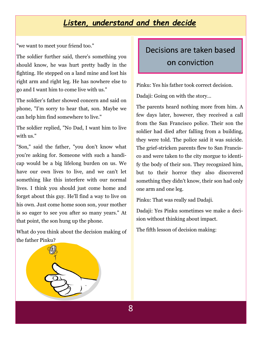# *Listen, understand and then decide*

"we want to meet your friend too."

The soldier further said, there's something you should know, he was hurt pretty badly in the fighting. He stepped on a land mine and lost his right arm and right leg. He has nowhere else to go and I want him to come live with us."

The soldier's father showed concern and said on phone, "I'm sorry to hear that, son. Maybe we can help him find somewhere to live."

The soldier replied, "No Dad, I want him to live with us."

"Son," said the father, "you don't know what you're asking for. Someone with such a handicap would be a big lifelong burden on us. We have our own lives to live, and we can't let something like this interfere with our normal lives. I think you should just come home and forget about this guy. He'll find a way to live on his own. Just come home soon son, your mother is so eager to see you after so many years." At that point, the son hung up the phone.

What do you think about the decision making of the father Pinku?

# Decisions are taken based on conviction

Pinku: Yes his father took correct decision. Dadaji: Going on with the story…

The parents heard nothing more from him. A few days later, however, they received a call from the San Francisco police. Their son the soldier had died after falling from a building, they were told. The police said it was suicide. The grief-stricken parents flew to San Francisco and were taken to the city morgue to identify the body of their son. They recognized him, but to their horror they also discovered something they didn't know, their son had only one arm and one leg.

Pinku: That was really sad Dadaji.

Dadaji: Yes Pinku sometimes we make a decision without thinking about impact.

The fifth lesson of decision making:

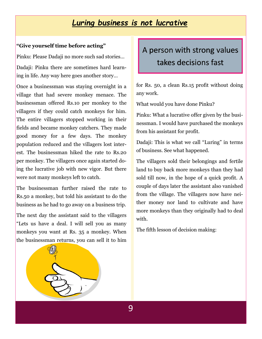# *Luring business is not lucrative*

#### **"Give yourself time before acting"**

Pinku: Please Dadaji no more such sad stories…

Dadaji: Pinku there are sometimes hard learning in life. Any way here goes another story…

Once a businessman was staying overnight in a village that had severe monkey menace. The businessman offered Rs.10 per monkey to the villagers if they could catch monkeys for him. The entire villagers stopped working in their fields and became monkey catchers. They made good money for a few days. The monkey population reduced and the villagers lost interest. The businessman hiked the rate to Rs.20 per monkey. The villagers once again started doing the lucrative job with new vigor. But there were not many monkeys left to catch.

The businessman further raised the rate to Rs.50 a monkey, but told his assistant to do the business as he had to go away on a business trip.

The next day the assistant said to the villagers "Lets us have a deal. I will sell you as many monkeys you want at Rs. 35 a monkey. When the businessman returns, you can sell it to him

# A person with strong values takes decisions fast

for Rs. 50, a clean Rs.15 profit without doing any work.

What would you have done Pinku?

Pinku: What a lucrative offer given by the businessman. I would have purchased the monkeys from his assistant for profit.

Dadaji: This is what we call "Luring" in terms of business. See what happened.

The villagers sold their belongings and fertile land to buy back more monkeys than they had sold till now, in the hope of a quick profit. A couple of days later the assistant also vanished from the village. The villagers now have neither money nor land to cultivate and have more monkeys than they originally had to deal with.

The fifth lesson of decision making: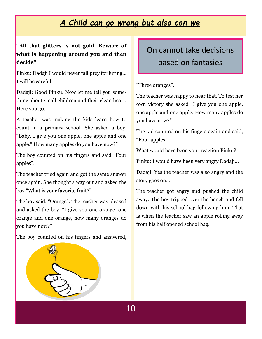# *A Child can go wrong but also can we*

#### **"All that glitters is not gold. Beware of what is happening around you and then decide"**

Pinku: Dadaji I would never fall prey for luring… I will be careful.

Dadaji: Good Pinku. Now let me tell you something about small children and their clean heart. Here you go…

A teacher was making the kids learn how to count in a primary school. She asked a boy, "Baby, I give you one apple, one apple and one apple." How many apples do you have now?"

The boy counted on his fingers and said "Four apples".

The teacher tried again and got the same answer once again. She thought a way out and asked the boy "What is your favorite fruit?"

The boy said, "Orange". The teacher was pleased and asked the boy, "I give you one orange, one orange and one orange, how many oranges do you have now?"

The boy counted on his fingers and answered,



"Three oranges".

The teacher was happy to hear that. To test her own victory she asked "I give you one apple, one apple and one apple. How many apples do you have now?"

The kid counted on his fingers again and said, "Four apples".

What would have been your reaction Pinku?

Pinku: I would have been very angry Dadaji…

Dadaji: Yes the teacher was also angry and the story goes on…

The teacher got angry and pushed the child away. The boy tripped over the bench and fell down with his school bag following him. That is when the teacher saw an apple rolling away from his half opened school bag.

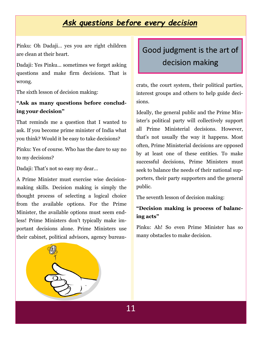# *Ask questions before every decision*

Pinku: Oh Dadaji… yes you are right children are clean at their heart.

Dadaji: Yes Pinku… sometimes we forget asking questions and make firm decisions. That is wrong.

The sixth lesson of decision making:

#### **"Ask as many questions before concluding your decision"**

That reminds me a question that I wanted to ask. If you become prime minister of India what you think? Would it be easy to take decisions?

Pinku: Yes of course. Who has the dare to say no to my decisions?

Dadaji: That's not so easy my dear…

A Prime Minister must exercise wise decisionmaking skills. Decision making is simply the thought process of selecting a logical choice from the available options. For the Prime Minister, the available options must seem endless! Prime Ministers don't typically make important decisions alone. Prime Ministers use their cabinet, political advisors, agency bureau-

# Good judgment is the art of decision making

crats, the court system, their political parties, interest groups and others to help guide decisions.

Ideally, the general public and the Prime Minister's political party will collectively support all Prime Ministerial decisions. However, that's not usually the way it happens. Most often, Prime Ministerial decisions are opposed by at least one of these entities. To make successful decisions, Prime Ministers must seek to balance the needs of their national supporters, their party supporters and the general public.

The seventh lesson of decision making:

#### **"Decision making is process of balancing acts"**

Pinku: Ah! So even Prime Minister has so many obstacles to make decision.

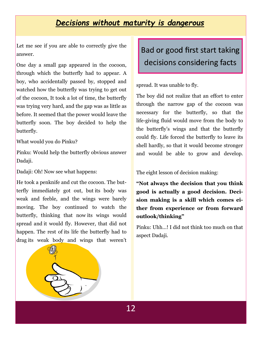### *Decisions without maturity is dangerous*

Let me see if you are able to correctly give the answer.

One day a small gap appeared in the cocoon, through which the butterfly had to appear. A boy, who accidentally passed by, stopped and watched how the butterfly was trying to get out of the cocoon, It took a lot of time, the butterfly was trying very hard, and the gap was as little as before. It seemed that the power would leave the butterfly soon. The boy decided to help the butterfly.

What would you do Pinku?

Pinku: Would help the butterfly obvious answer Dadaji.

Dadaji: Oh! Now see what happens:

He took a penknife and cut the cocoon. The butterfly immediately got out, but its body was weak and feeble, and the wings were barely moving. The boy continued to watch the butterfly, thinking that now its wings would spread and it would fly. However, that did not happen. The rest of its life the butterfly had to drag its weak body and wings that weren't Bad or good first start taking decisions considering facts

spread. It was unable to fly.

The boy did not realize that an effort to enter through the narrow gap of the cocoon was necessary for the butterfly, so that the life-giving fluid would move from the body to the butterfly's wings and that the butterfly could fly. Life forced the butterfly to leave its shell hardly, so that it would become stronger and would be able to grow and develop.

The eight lesson of decision making:

**"Not always the decision that you think good is actually a good decision. Decision making is a skill which comes either from experience or from forward outlook/thinking"**

Pinku: Uhh…! I did not think too much on that aspect Dadaji.

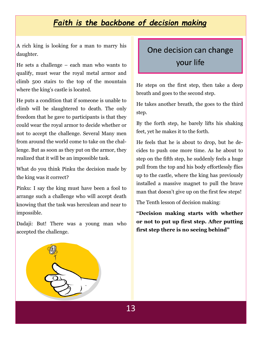# *Faith is the backbone of decision making*

A rich king is looking for a man to marry his daughter.

He sets a challenge – each man who wants to qualify, must wear the royal metal armor and climb 500 stairs to the top of the mountain where the king's castle is located.

He puts a condition that if someone is unable to climb will be slaughtered to death. The only freedom that he gave to participants is that they could wear the royal armor to decide whether or not to accept the challenge. Several Many men from around the world come to take on the challenge. But as soon as they put on the armor, they realized that it will be an impossible task.

What do you think Pinku the decision made by the king was it correct?

Pinku: I say the king must have been a fool to arrange such a challenge who will accept death knowing that the task was herculean and near to impossible.

Dadaji: But! There was a young man who accepted the challenge.

# One decision can change your life

He steps on the first step, then take a deep breath and goes to the second step.

He takes another breath, the goes to the third step.

By the forth step, he barely lifts his shaking feet, yet he makes it to the forth.

He feels that he is about to drop, but he decides to push one more time. As he about to step on the fifth step, he suddenly feels a huge pull from the top and his body effortlessly flies up to the castle, where the king has previously installed a massive magnet to pull the brave man that doesn't give up on the first few steps!

The Tenth lesson of decision making:

**"Decision making starts with whether or not to put up first step. After putting first step there is no seeing behind"** 

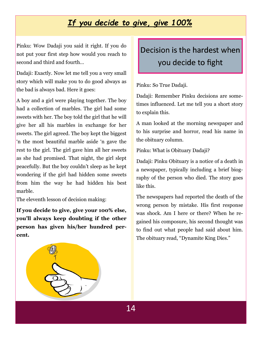# *If you decide to give, give 100%*

Pinku: Wow Dadaji you said it right. If you do not put your first step how would you reach to second and third and fourth…

Dadaji: Exactly. Now let me tell you a very small story which will make you to do good always as the bad is always bad. Here it goes:

A boy and a girl were playing together. The boy had a collection of marbles. The girl had some sweets with her. The boy told the girl that he will give her all his marbles in exchange for her sweets. The girl agreed. The boy kept the biggest 'n the most beautiful marble aside 'n gave the rest to the girl. The girl gave him all her sweets as she had promised. That night, the girl slept peacefully. But the boy couldn't sleep as he kept wondering if the girl had hidden some sweets from him the way he had hidden his best marble.

The eleventh lesson of decision making:

**If you decide to give, give your 100% else, you'll always keep doubting if the other person has given his/her hundred percent.**

Decision is the hardest when you decide to fight

Pinku: So True Dadaji.

Dadaji: Remember Pinku decisions are sometimes influenced. Let me tell you a short story to explain this.

A man looked at the morning newspaper and to his surprise and horror, read his name in the obituary column.

Pinku: What is Obituary Dadaji?

Dadaji: Pinku Obituary is a notice of a death in a newspaper, typically including a brief biography of the person who died. The story goes like this.

The newspapers had reported the death of the wrong person by mistake. His first response was shock. Am I here or there? When he regained his composure, his second thought was to find out what people had said about him. The obituary read, "Dynamite King Dies."

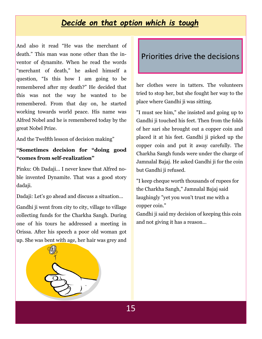### *Decide on that option which is tough*

And also it read "He was the merchant of death." This man was none other than the inventor of dynamite. When he read the words "merchant of death," he asked himself a question, "Is this how I am going to be remembered after my death?" He decided that this was not the way he wanted to be remembered. From that day on, he started working towards world peace. His name was Alfred Nobel and he is remembered today by the great Nobel Prize.

And the Twelfth lesson of decision making"

#### **"Sometimes decision for "doing good "comes from self-realization"**

Pinku: Oh Dadaji… I never knew that Alfred noble invented Dynamite. That was a good story dadaji.

Dadaji: Let's go ahead and discuss a situation…

Gandhi ji went from city to city, village to village collecting funds for the Charkha Sangh. During one of his tours he addressed a meeting in Orissa. After his speech a poor old woman got up. She was bent with age, her hair was grey and

### Priorities drive the decisions

her clothes were in tatters. The volunteers tried to stop her, but she fought her way to the place where Gandhi ji was sitting.

"I must see him," she insisted and going up to Gandhi ji touched his feet. Then from the folds of her sari she brought out a copper coin and placed it at his feet. Gandhi ji picked up the copper coin and put it away carefully. The Charkha Sangh funds were under the charge of Jamnalal Bajaj. He asked Gandhi ji for the coin but Gandhi ji refused.

"I keep cheque worth thousands of rupees for the Charkha Sangh," Jamnalal Bajaj said laughingly "yet you won't trust me with a copper coin."

Gandhi ji said my decision of keeping this coin and not giving it has a reason…

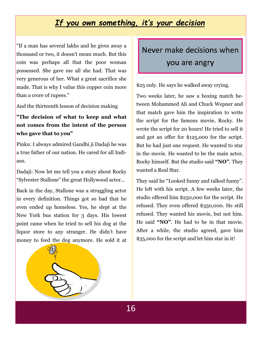# *If you own something, it's your decision*

"If a man has several lakhs and he gives away a thousand or two, it doesn't mean much. But this coin was perhaps all that the poor woman possessed. She gave me all she had. That was very generous of her. What a great sacrifice she made. That is why I value this copper coin more than a crore of rupees."

And the thirteenth lesson of decision making

#### **"The decision of what to keep and what not comes from the intent of the person who gave that to you"**

Pinku: I always admired Gandhi ji Dadaji he was a true father of our nation. He cared for all Indians.

Dadaji: Now let me tell you a story about Rocky "Sylvester Stallone" the great Hollywood actor…

Back in the day, Stallone was a struggling actor in every definition. Things got so bad that he even ended up homeless. Yes, he slept at the New York bus station for 3 days. His lowest point came when he tried to sell his dog at the liquor store to any stranger. He didn't have money to feed the dog anymore. He sold it at Never make decisions when you are angry

\$25 only. He says he walked away crying.

Two weeks later, he saw a boxing match between Mohammed Ali and Chuck Wepner and that match gave him the inspiration to write the script for the famous movie, Rocky. He wrote the script for 20 hours! He tried to sell it and got an offer for \$125,000 for the script. But he had just one request. He wanted to star in the movie. He wanted to be the main actor, Rocky himself. But the studio said **"NO"**. They wanted a Real Star.

They said he "Looked funny and talked funny". He left with his script. A few weeks later, the studio offered him \$250,000 for the script. He refused. They even offered \$350,000. He still refused. They wanted his movie, but not him. He said **"NO"**. He had to be in that movie. After a while, the studio agreed, gave him \$35,000 for the script and let him star in it!

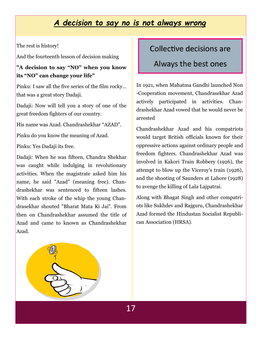### *A decision to say no is not always wrong*

The rest is history!

And the fourteenth lesson of decision making

**"A decision to say "NO" when you know its "NO" can change your life"**

Pinku: I saw all the five series of the film rocky… that was a great story Dadaji.

Dadaji: Now will tell you a story of one of the great freedom fighters of our country.

His name was Azad. Chandrashekhar "AZAD".

Pinku do you know the meaning of Azad.

Pinku: Yes Dadaji its free.

Dadaji: When he was fifteen, Chandra Shekhar was caught while indulging in revolutionary activities. When the magistrate asked him his name, he said "Azad" (meaning free). Chandrashekhar was sentenced to fifteen lashes. With each stroke of the whip the young Chandrasekhar shouted "Bharat Mata Ki Jai". From then on Chandrashekhar assumed the title of Azad and came to known as Chandrashekhar Azad.

#### Collective decisions are

#### Always the best ones

In 1921, when Mahatma Gandhi launched Non -Cooperation movement, Chandrasekhar Azad actively participated in activities. Chandrashekhar Azad vowed that he would never be arrested

Chandrashekhar Azad and his compatriots would target British officials known for their oppressive actions against ordinary people and freedom fighters. Chandrashekhar Azad was involved in Kakori Train Robbery (1926), the attempt to blow up the Viceroy's train (1926), and the shooting of Saunders at Lahore (1928) to avenge the killing of Lala Lajpatrai.

Along with Bhagat Singh and other compatriots like Sukhdev and Rajguru, Chandrashekhar Azad formed the Hindustan Socialist Republican Association (HRSA).

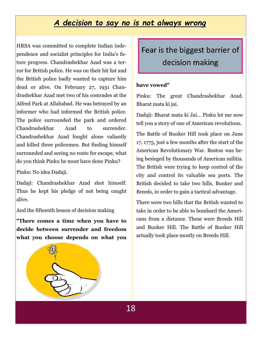### *A decision to say no is not always wrong*

HRSA was committed to complete Indian independence and socialist principles for India's future progress. Chandrashekhar Azad was a terror for British police. He was on their hit list and the British police badly wanted to capture him dead or alive. On February 27, 1931 Chandrashekhar Azad met two of his comrades at the Alfred Park at Allahabad. He was betrayed by an informer who had informed the British police. The police surrounded the park and ordered Chandrashekhar Azad to surrender. Chandrashekhar Azad fought alone valiantly and killed three policemen. But finding himself surrounded and seeing no route for escape, what do you think Pinku he must have done Pinku?

Pinku: No idea Dadaji.

Dadaji: Chandrashekhar Azad shot himself. Thus he kept his pledge of not being caught alive.

And the fifteenth lesson of decision making

**"There comes a time when you have to decide between surrender and freedom what you choose depends on what you** 

Fear is the biggest barrier of decision making

#### **have vowed"**

Pinku: The great Chandrashekhar Azad. Bharat mata ki jai.

Dadaji: Bharat mata ki Jai… Pinku let me now tell you a story of one of American revolutions.

The Battle of Bunker Hill took place on June 17, 1775, just a few months after the start of the American Revolutionary War. Boston was being besieged by thousands of American militia. The British were trying to keep control of the city and control its valuable sea ports. The British decided to take two hills, Bunker and Breeds, in order to gain a tactical advantage.

There were two hills that the British wanted to take in order to be able to bombard the Americans from a distance. These were Breeds Hill and Bunker Hill. The Battle of Bunker Hill actually took place mostly on Breeds Hill.

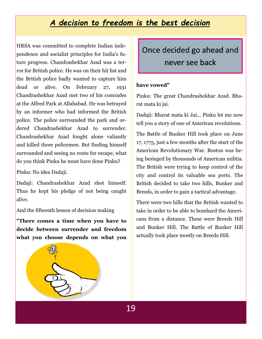# *A decision to freedom is the best decision*

HRSA was committed to complete Indian independence and socialist principles for India's future progress. Chandrashekhar Azad was a terror for British police. He was on their hit list and the British police badly wanted to capture him dead or alive. On February 27, 1931 Chandrashekhar Azad met two of his comrades at the Alfred Park at Allahabad. He was betrayed by an informer who had informed the British police. The police surrounded the park and ordered Chandrashekhar Azad to surrender. Chandrashekhar Azad fought alone valiantly and killed three policemen. But finding himself surrounded and seeing no route for escape, what do you think Pinku he must have done Pinku?

Pinku: No idea Dadaji.

Dadaji: Chandrashekhar Azad shot himself. Thus he kept his pledge of not being caught alive.

And the fifteenth lesson of decision making

**"There comes a time when you have to decide between surrender and freedom what you choose depends on what you** 



#### **have vowed"**

Pinku: The great Chandrashekhar Azad. Bharat mata ki jai.

Dadaji: Bharat mata ki Jai… Pinku let me now tell you a story of one of American revolutions.

The Battle of Bunker Hill took place on June 17, 1775, just a few months after the start of the American Revolutionary War. Boston was being besieged by thousands of American militia. The British were trying to keep control of the city and control its valuable sea ports. The British decided to take two hills, Bunker and Breeds, in order to gain a tactical advantage.

There were two hills that the British wanted to take in order to be able to bombard the Americans from a distance. These were Breeds Hill and Bunker Hill. The Battle of Bunker Hill actually took place mostly on Breeds Hill.

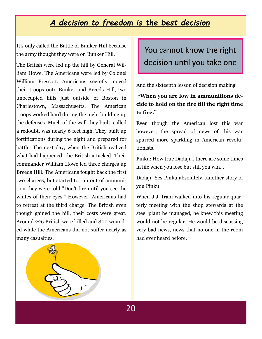# *A decision to freedom is the best decision*

It's only called the Battle of Bunker Hill because the army thought they were on Bunker Hill.

The British were led up the hill by General William Howe. The Americans were led by Colonel William Prescott. Americans secretly moved their troops onto Bunker and Breeds Hill, two unoccupied hills just outside of Boston in Charlestown, Massachusetts. The American troops worked hard during the night building up the defenses. Much of the wall they built, called a redoubt, was nearly 6 feet high. They built up fortifications during the night and prepared for battle. The next day, when the British realized what had happened, the British attacked. Their commander William Howe led three charges up Breeds Hill. The Americans fought back the first two charges, but started to run out of ammunition they were told "Don't fire until you see the whites of their eyes." However, Americans had to retreat at the third charge. The British even though gained the hill, their costs were great. Around 226 British were killed and 800 wounded while the Americans did not suffer nearly as many casualties.

You cannot know the right decision until you take one

And the sixteenth lesson of decision making

#### **"When you are low in ammunitions decide to hold on the fire till the right time to fire."**

Even though the American lost this war however, the spread of news of this war spurred more sparkling in American revolutionists.

Pinku: How true Dadaji… there are some times in life when you lose but still you win…

Dadaji: Yes Pinku absolutely…another story of you Pinku

When J.J. Irani walked into his regular quarterly meeting with the shop stewards at the steel plant he managed, he knew this meeting would not be regular. He would be discussing very bad news, news that no one in the room had ever heard before.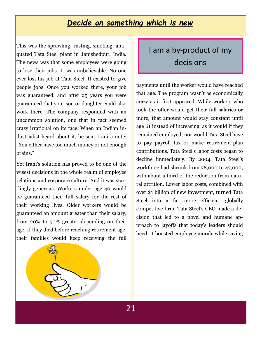### *Decide on something which is new*

This was the sprawling, rusting, smoking, antiquated Tata Steel plant in Jamshedpur, India. The news was that some employees were going to lose their jobs. It was unbelievable. No one ever lost his job at Tata Steel. It existed to give people jobs. Once you worked there, your job was guaranteed, and after 25 years you were guaranteed that your son or daughter could also work there. The company responded with an uncommon solution, one that in fact seemed crazy irrational on its face. When an Indian industrialist heard about it, he sent Irani a note: "You either have too much money or not enough brains."

Yet Irani's solution has proved to be one of the wisest decisions in the whole realm of employee relations and corporate culture. And it was startlingly generous. Workers under age 40 would be guaranteed their full salary for the rest of their working lives. Older workers would be guaranteed an amount greater than their salary, from 20% to 50% greater depending on their age. If they died before reaching retirement age, their families would keep receiving the full

# I am a by-product of my decisions

payments until the worker would have reached that age. The program wasn't as economically crazy as it first appeared. While workers who took the offer would get their full salaries or more, that amount would stay constant until age 61 instead of increasing, as it would if they remained employed; nor would Tata Steel have to pay payroll tax or make retirement-plan contributions. Tata Steel's labor costs began to decline immediately. By 2004, Tata Steel's workforce had shrunk from 78,000 to 47,000, with about a third of the reduction from natural attrition. Lower labor costs, combined with over \$1 billion of new investment, turned Tata Steel into a far more efficient, globally competitive firm. Tata Steel's CEO made a decision that led to a novel and humane approach to layoffs that today's leaders should heed. It boosted employee morale while saving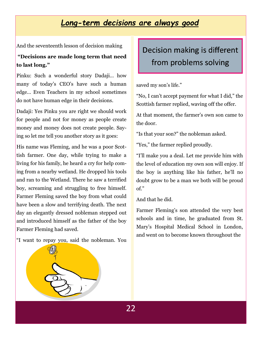### *Long-term decisions are always good*

And the seventeenth lesson of decision making

#### **"Decisions are made long term that need to last long."**

Pinku: Such a wonderful story Dadaji… how many of today's CEO's have such a human edge… Even Teachers in my school sometimes do not have human edge in their decisions.

Dadaji: Yes Pinku you are right we should work for people and not for money as people create money and money does not create people. Saying so let me tell you another story as it goes:

His name was Fleming, and he was a poor Scottish farmer. One day, while trying to make a living for his family, he heard a cry for help coming from a nearby wetland. He dropped his tools and ran to the Wetland. There he saw a terrified boy, screaming and struggling to free himself. Farmer Fleming saved the boy from what could have been a slow and terrifying death. The next day an elegantly dressed nobleman stepped out and introduced himself as the father of the boy Farmer Fleming had saved.

"I want to repay you, said the nobleman. You

# Decision making is different from problems solving

saved my son's life."

"No, I can't accept payment for what I did," the Scottish farmer replied, waving off the offer.

At that moment, the farmer's own son came to the door.

"Is that your son?" the nobleman asked.

"Yes," the farmer replied proudly.

"I'll make you a deal. Let me provide him with the level of education my own son will enjoy. If the boy is anything like his father, he'll no doubt grow to be a man we both will be proud of."

And that he did.

Farmer Fleming's son attended the very best schools and in time, he graduated from St. Mary's Hospital Medical School in London, and went on to become known throughout the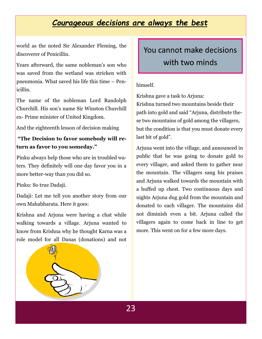# *Courageous decisions are always the best*

world as the noted Sir Alexander Fleming, the discoverer of Penicillin.

Years afterward, the same nobleman's son who was saved from the wetland was stricken with pneumonia. What saved his life this time – Penicillin.

The name of the nobleman Lord Randolph Churchill. His son's name Sir Winston Churchill ex- Prime minister of United Kingdom.

And the eighteenth lesson of decision making

#### **"The Decision to favor somebody will return as favor to you someday."**

Pinku always help those who are in troubled waters. They definitely will one day favor you in a more better-way than you did so.

Pinku: So true Dadaji.

Dadaji: Let me tell you another story from our own Mahabharata. Here it goes:

Krishna and Arjuna were having a chat while walking towards a village. Arjuna wanted to know from Krishna why he thought Karna was a role model for all Danas (donations) and not

# You cannot make decisions with two minds

#### himself.

Krishna gave a task to Arjuna:

Krishna turned two mountains beside their path into gold and said "Arjuna, distribute these two mountains of gold among the villagers, but the condition is that you must donate every last bit of gold".

Arjuna went into the village, and announced in public that he was going to donate gold to every villager, and asked them to gather near the mountain. The villagers sang his praises and Arjuna walked towards the mountain with a huffed up chest. Two continuous days and nights Arjuna dug gold from the mountain and donated to each villager. The mountains did not diminish even a bit. Arjuna called the villagers again to come back in line to get more. This went on for a few more days.

23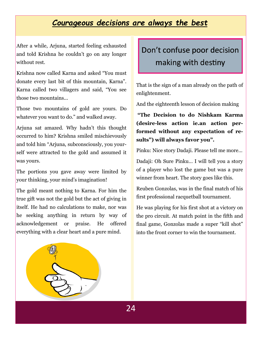### *Courageous decisions are always the best*

After a while, Arjuna, started feeling exhausted and told Krishna he couldn't go on any longer without rest.

Krishna now called Karna and asked "You must donate every last bit of this mountain, Karna". Karna called two villagers and said, "You see those two mountains...

Those two mountains of gold are yours. Do whatever you want to do." and walked away.

Arjuna sat amazed. Why hadn't this thought occurred to him? Krishna smiled mischievously and told him "Arjuna, subconsciously, you yourself were attracted to the gold and assumed it was yours.

The portions you gave away were limited by your thinking, your mind's imagination!

The gold meant nothing to Karna. For him the true gift was not the gold but the act of giving in itself. He had no calculations to make, nor was he seeking anything in return by way of acknowledgement or praise. He offered everything with a clear heart and a pure mind.

Don't confuse poor decision making with destiny

That is the sign of a man already on the path of enlightenment.

And the eighteenth lesson of decision making

**"The Decision to do Nishkam Karma (desire-less action ie.an action performed without any expectation of results") will always favor you".** 

Pinku: Nice story Dadaji. Please tell me more…

Dadaji: Oh Sure Pinku… I will tell you a story of a player who lost the game but was a pure winner from heart. The story goes like this.

Reuben Gonzolas, was in the final match of his first professional racquetball tournament.

He was playing for his first shot at a victory on the pro circuit. At match point in the fifth and final game, Gonzolas made a super "kill shot" into the front corner to win the tournament.

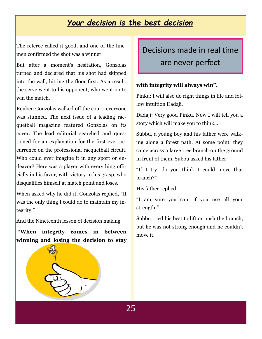### *Your decision is the best decision*

The referee called it good, and one of the linemen confirmed the shot was a winner.

But after a moment's hesitation, Gonzolas turned and declared that his shot had skipped into the wall, hitting the floor first. As a result, the serve went to his opponent, who went on to win the match.

Reuben Gonzolas walked off the court; everyone was stunned. The next issue of a leading racquetball magazine featured Gonzolas on its cover. The lead editorial searched and questioned for an explanation for the first ever occurrence on the professional racquetball circuit. Who could ever imagine it in any sport or endeavor? Here was a player with everything officially in his favor, with victory in his grasp, who disqualifies himself at match point and loses.

When asked why he did it, Gonzolas replied, "It was the only thing I could do to maintain my integrity."

And the Nineteenth lesson of decision making

**"When integrity comes in between winning and losing the decision to stay** 

# Decisions made in real time are never perfect

#### **with integrity will always win".**

Pinku: I will also do right things in life and follow intuition Dadaji.

Dadaji: Very good Pinku. Now I will tell you a story which will make you to think…

Subbu, a young boy and his father were walking along a forest path. At some point, they came across a large tree branch on the ground in front of them. Subbu asked his father:

"If I try, do you think I could move that branch?"

His father replied:

"I am sure you can, if you use all your strength."

Subbu tried his best to lift or push the branch, but he was not strong enough and he couldn't move it.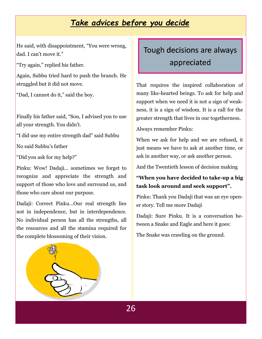# *Take advices before you decide*

He said, with disappointment, "You were wrong, dad. I can't move it."

"Try again," replied his father.

Again, Subbu tried hard to push the branch. He struggled but it did not move.

"Dad, I cannot do it," said the boy.

Finally his father said, "Son, I advised you to use all your strength. You didn't.

"I did use my entire strength dad" said Subbu

No said Subbu's father

"Did you ask for my help?"

Pinku: Wow! Dadaji… sometimes we forget to recognize and appreciate the strength and support of those who love and surround us, and those who care about our purpose.

Dadaji: Correct Pinku…Our real strength lies not in independence, but in interdependence. No individual person has all the strengths, all the resources and all the stamina required for the complete blossoming of their vision.



# Tough decisions are always appreciated

That requires the inspired collaboration of many like-hearted beings. To ask for help and support when we need it is not a sign of weakness, it is a sign of wisdom. It is a call for the greater strength that lives in our togetherness.

Always remember Pinku:

When we ask for help and we are refused, it just means we have to ask at another time, or ask in another way, or ask another person.

And the Twentieth lesson of decision making

#### **"When you have decided to take-up a big task look around and seek support".**

Pinku: Thank you Dadaji that was an eye opener story. Tell me more Dadaji

Dadaji: Sure Pinku. It is a conversation between a Snake and Eagle and here it goes:

The Snake was crawling on the ground.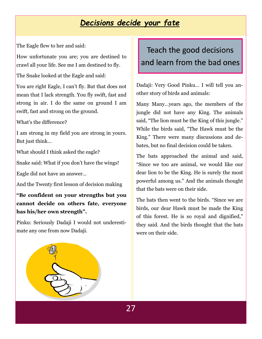# *Decisions decide your fate*

The Eagle flew to her and said:

How unfortunate you are; you are destined to crawl all your life. See me I am destined to fly.

The Snake looked at the Eagle and said:

You are right Eagle, I can't fly. But that does not mean that I lack strength. You fly swift, fast and strong in air. I do the same on ground I am swift, fast and strong on the ground.

What's the difference?

I am strong in my field you are strong in yours. But just think…

What should I think asked the eagle?

Snake said: What if you don't have the wings!

Eagle did not have an answer…

And the Twenty first lesson of decision making

#### **"Be confident on your strengths but you cannot decide on others fate, everyone has his/her own strength".**

Pinku: Seriously Dadaji I would not underestimate any one from now Dadaji.

# Teach the good decisions and learn from the bad ones

Dadaji: Very Good Pinku… I will tell you another story of birds and animals:

Many Many…years ago, the members of the jungle did not have any King. The animals said, "The lion must be the King of this jungle." While the birds said, "The Hawk must be the King." There were many discussions and debates, but no final decision could be taken.

The bats approached the animal and said, "Since we too are animal, we would like our dear lion to be the King. He is surely the most powerful among us." And the animals thought that the bats were on their side.

The bats then went to the birds. "Since we are birds, our dear Hawk must be made the King of this forest. He is so royal and dignified," they said. And the birds thought that the bats were on their side.

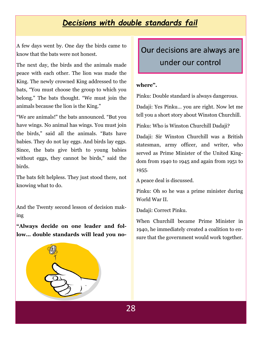# *Decisions with double standards fail*

A few days went by. One day the birds came to know that the bats were not honest.

The next day, the birds and the animals made peace with each other. The lion was made the King. The newly crowned King addressed to the bats, "You must choose the group to which you belong." The bats thought. "We must join the animals because the lion is the King."

"We are animals!" the bats announced. "But you have wings. No animal has wings. You must join the birds," said all the animals. "Bats have babies. They do not lay eggs. And birds lay eggs. Since, the bats give birth to young babies without eggs, they cannot be birds," said the birds.

The bats felt helpless. They just stood there, not knowing what to do.

And the Twenty second lesson of decision making

**"Always decide on one leader and follow… double standards will lead you no-** Our decisions are always are under our control

#### **where".**

Pinku: Double standard is always dangerous.

Dadaji: Yes Pinku… you are right. Now let me tell you a short story about Winston Churchill.

Pinku: Who is Winston Churchill Dadaji?

Dadaji: Sir Winston Churchill was a British statesman, army officer, and writer, who served as Prime Minister of the United Kingdom from 1940 to 1945 and again from 1951 to 1955.

A peace deal is discussed.

Pinku: Oh so he was a prime minister during World War II.

Dadaji: Correct Pinku.

When Churchill became Prime Minister in 1940, he immediately created a coalition to ensure that the government would work together.

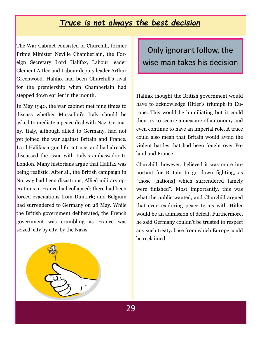### *Truce is not always the best decision*

The War Cabinet consisted of Churchill, former Prime Minister Neville Chamberlain, the Foreign Secretary Lord Halifax, Labour leader Clement Attlee and Labour deputy leader Arthur Greenwood. Halifax had been Churchill's rival for the premiership when Chamberlain had stepped down earlier in the month.

In May 1940, the war cabinet met nine times to discuss whether Mussolini's Italy should be asked to mediate a peace deal with Nazi Germany. Italy, although allied to Germany, had not yet joined the war against Britain and France. Lord Halifax argued for a truce, and had already discussed the issue with Italy's ambassador to London. Many historians argue that Halifax was being realistic. After all, the British campaign in Norway had been disastrous; Allied military operations in France had collapsed; there had been forced evacuations from Dunkirk; and Belgium had surrendered to Germany on 28 May. While the British government deliberated, the French government was crumbling as France was seized, city by city, by the Nazis.

Only ignorant follow, the wise man takes his decision

Halifax thought the British government would have to acknowledge Hitler's triumph in Europe. This would be humiliating but it could then try to secure a measure of autonomy and even continue to have an imperial role. A truce could also mean that Britain would avoid the violent battles that had been fought over Poland and France.

Churchill, however, believed it was more important for Britain to go down fighting, as "those [nations] which surrendered tamely were finished". Most importantly, this was what the public wanted, and Churchill argued that even exploring peace terms with Hitler would be an admission of defeat. Furthermore, he said Germany couldn't be trusted to respect any such treaty. base from which Europe could be reclaimed.